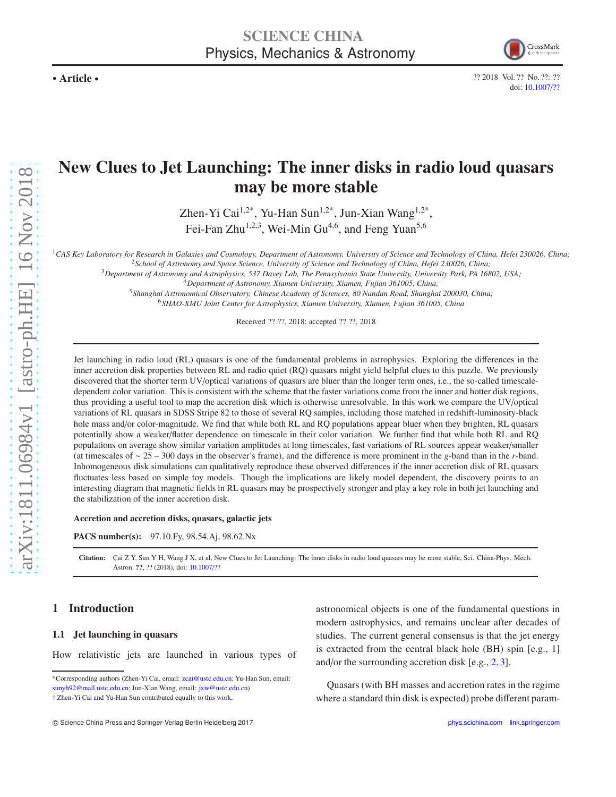

?? 2018 Vol. ?? No. ??: ?? doi: [10.1007](https://doi.org/10.1007/??)/??

# New Clues to Jet Launching: The inner disks in radio loud quasars may be more stable

Zhen-Yi Cai<sup>1,2\*</sup>, Yu-Han Sun<sup>1,2\*</sup>, Jun-Xian Wang<sup>1,2\*</sup>, Fei-Fan Zhu<sup>1,2,3</sup>, Wei-Min Gu<sup>4,6</sup>, and Feng Yuan<sup>5,6</sup>

<sup>1</sup>*CAS Key Laboratory for Research in Galaxies and Cosmology, Department of Astronomy, University of Science and Technology of China, Hefei 230026, China;* <sup>2</sup>*School of Astronomy and Space Science, University of Science and Technology of China, Hefei 230026, China;*

<sup>3</sup>*Department of Astronomy and Astrophysics, 537 Davey Lab, The Pennsylvania State University, University Park, PA 16802, USA;*

<sup>4</sup>*Department of Astronomy, Xiamen University, Xiamen, Fujian 361005, China;*

<sup>5</sup>*Shanghai Astronomical Observatory, Chinese Academy of Sciences, 80 Nandan Road, Shanghai 200030, China;*

<sup>6</sup>*SHAO-XMU Joint Center for Astrophysics, Xiamen University, Xiamen, Fujian 361005, China*

Received ?? ??, 2018; accepted ?? ??, 2018

Jet launching in radio loud (RL) quasars is one of the fundamental problems in astrophysics. Exploring the differences in the inner accretion disk properties between RL and radio quiet (RQ) quasars might yield helpful clues to this puzzle. We previously discovered that the shorter term UV/optical variations of quasars are bluer than the longer term ones, i.e., the so-called timescaledependent color variation. This is consistent with the scheme that the faster variations come from the inner and hotter disk regions, thus providing a useful tool to map the accretion disk which is otherwise unresolvable. In this work we compare the UV/optical variations of RL quasars in SDSS Stripe 82 to those of several RQ samples, including those matched in redshift-luminosity-black hole mass and/or color-magnitude. We find that while both RL and RQ populations appear bluer when they brighten, RL quasars potentially show a weaker/flatter dependence on timescale in their color variation. We further find that while both RL and RQ populations on average show similar variation amplitudes at long timescales, fast variations of RL sources appear weaker/smaller (at timescales of ∼ 25 – 300 days in the observer's frame), and the difference is more prominent in the *g*-band than in the *r*-band. Inhomogeneous disk simulations can qualitatively reproduce these observed differences if the inner accretion disk of RL quasars fluctuates less based on simple toy models. Though the implications are likely model dependent, the discovery points to an interesting diagram that magnetic fields in RL quasars may be prospectively stronger and play a key role in both jet launching and the stabilization of the inner accretion disk.

#### Accretion and accretion disks, quasars, galactic jets

PACS number(s): 97.10.Fy, 98.54.Aj, 98.62.Nx

Citation: Cai Z Y, Sun Y H, Wang J X, et al, New Clues to Jet Launching: The inner disks in radio loud quasars may be more stable, Sci. China-Phys. Mech. Astron. ??, ?? (2018), doi: [10.1007](https://doi.org/10.1007/??)/??

## 1 Introduction

#### 1.1 Jet launching in quasars

How relativistic jets are launched in various types of

Quasars (with BH masses and accretion rates in the regime where a standard thin disk is expected) probe different param-

<sup>\*</sup>Corresponding authors (Zhen-Yi Cai, email: zcai@ustc.edu.cn; Yu-Han Sun, email: sunyh92@mail.ustc.edu.cn; Jun-Xian Wang, email: jxw@ustc.edu.cn) † Zhen-Yi Cai and Yu-Han Sun contributed equally to this work.

astronomical objects is one of the fundamental questions in modern astrophysics, and remains unclear after decades of studies. The current general consensus is that the jet energy is extracted from the central black hole (BH) spin [e.g., [1\]](#page-11-0) and/or the surrounding accretion disk [e.g., [2,](#page-11-1) [3\]](#page-11-2).

C Science China Press and Springer-Verlag Berlin Heidelberg 2017 <phys.scichina.com><link.springer.com>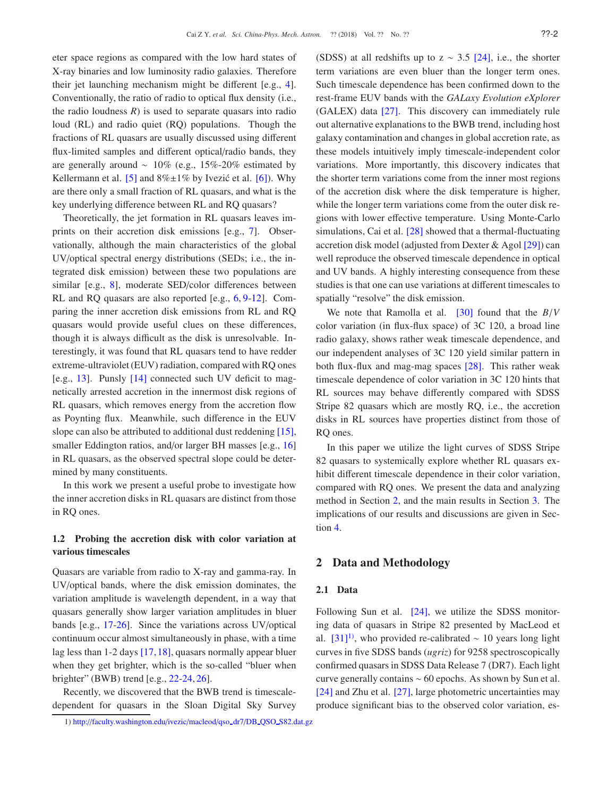eter space regions as compared with the low hard states of X-ray binaries and low luminosity radio galaxies. Therefore their jet launching mechanism might be different [e.g., [4\]](#page-12-0). Conventionally, the ratio of radio to optical flux density (i.e., the radio loudness  $R$ ) is used to separate quasars into radio loud (RL) and radio quiet (RQ) populations. Though the fractions of RL quasars are usually discussed using different flux-limited samples and different optical/radio bands, they are generally around  $~10\%$  (e.g., 15%-20% estimated by Kellermann et al. [\[5\]](#page-12-1) and  $8\% \pm 1\%$  by Ivezić et al. [\[6\]](#page-12-2)). Why are there only a small fraction of RL quasars, and what is the key underlying difference between RL and RQ quasars?

Theoretically, the jet formation in RL quasars leaves imprints on their accretion disk emissions [e.g., [7\]](#page-12-3). Observationally, although the main characteristics of the global UV/optical spectral energy distributions (SEDs; i.e., the integrated disk emission) between these two populations are similar [e.g., [8\]](#page-12-4), moderate SED/color differences between RL and RQ quasars are also reported [e.g., [6,](#page-12-2) [9-](#page-12-5)[12\]](#page-12-6). Comparing the inner accretion disk emissions from RL and RQ quasars would provide useful clues on these differences, though it is always difficult as the disk is unresolvable. Interestingly, it was found that RL quasars tend to have redder extreme-ultraviolet (EUV) radiation, compared with RQ ones [e.g.,  $13$ ]. Punsly  $[14]$  connected such UV deficit to magnetically arrested accretion in the innermost disk regions of RL quasars, which removes energy from the accretion flow as Poynting flux. Meanwhile, such difference in the EUV slope can also be attributed to additional dust reddening [\[15\]](#page-12-9), smaller Eddington ratios, and/or larger BH masses [e.g., [16\]](#page-12-10) in RL quasars, as the observed spectral slope could be determined by many constituents.

In this work we present a useful probe to investigate how the inner accretion disks in RL quasars are distinct from those in RQ ones.

## 1.2 Probing the accretion disk with color variation at various timescales

Quasars are variable from radio to X-ray and gamma-ray. In UV/optical bands, where the disk emission dominates, the variation amplitude is wavelength dependent, in a way that quasars generally show larger variation amplitudes in bluer bands [e.g., [17-](#page-12-11)[26\]](#page-12-12). Since the variations across UV/optical continuum occur almost simultaneously in phase, with a time lag less than 1-2 days [\[17,](#page-12-11) [18\]](#page-12-13), quasars normally appear bluer when they get brighter, which is the so-called "bluer when brighter" (BWB) trend [e.g., [22](#page-12-14)[-24,](#page-12-15) [26\]](#page-12-12).

Recently, we discovered that the BWB trend is timescaledependent for quasars in the Sloan Digital Sky Survey (SDSS) at all redshifts up to  $z \sim 3.5$  [\[24\]](#page-12-15), i.e., the shorter term variations are even bluer than the longer term ones. Such timescale dependence has been confirmed down to the rest-frame EUV bands with the *GALaxy Evolution eXplorer* (GALEX) data [\[27\]](#page-12-16). This discovery can immediately rule out alternative explanations to the BWB trend, including host galaxy contamination and changes in global accretion rate, as these models intuitively imply timescale-independent color variations. More importantly, this discovery indicates that the shorter term variations come from the inner most regions of the accretion disk where the disk temperature is higher, while the longer term variations come from the outer disk regions with lower effective temperature. Using Monte-Carlo simulations, Cai et al. [\[28\]](#page-12-17) showed that a thermal-fluctuating accretion disk model (adjusted from Dexter & Agol [\[29\]](#page-12-18)) can well reproduce the observed timescale dependence in optical and UV bands. A highly interesting consequence from these studies is that one can use variations at different timescales to spatially "resolve" the disk emission.

We note that Ramolla et al. [\[30\]](#page-12-19) found that the *B*/*V* color variation (in flux-flux space) of 3C 120, a broad line radio galaxy, shows rather weak timescale dependence, and our independent analyses of 3C 120 yield similar pattern in both flux-flux and mag-mag spaces [\[28\]](#page-12-17). This rather weak timescale dependence of color variation in 3C 120 hints that RL sources may behave differently compared with SDSS Stripe 82 quasars which are mostly RQ, i.e., the accretion disks in RL sources have properties distinct from those of RQ ones.

In this paper we utilize the light curves of SDSS Stripe 82 quasars to systemically explore whether RL quasars exhibit different timescale dependence in their color variation, compared with RQ ones. We present the data and analyzing method in Section [2,](#page-1-0) and the main results in Section [3.](#page-4-0) The implications of our results and discussions are given in Section [4.](#page-9-0)

## <span id="page-1-0"></span>2 Data and Methodology

#### 2.1 Data

Following Sun et al. [\[24\]](#page-12-15), we utilize the SDSS monitoring data of quasars in Stripe 82 presented by MacLeod et al.  $[31]$ <sup>[1\)](#page-1-1)</sup>, who provided re-calibrated ~ 10 years long light curves in five SDSS bands (*ugriz*) for 9258 spectroscopically confirmed quasars in SDSS Data Release 7 (DR7). Each light curve generally contains ∼ 60 epochs. As shown by Sun et al. [\[24\]](#page-12-15) and Zhu et al. [\[27\]](#page-12-16), large photometric uncertainties may produce significant bias to the observed color variation, es-

<span id="page-1-1"></span><sup>1)</sup> http://[faculty.washington.edu](http://faculty.washington.edu/ivezic/macleod/qso_dr7/DB_QSO_S82.dat.gz)/ivezic/macleod/qso dr7/DB QSO S82.dat.gz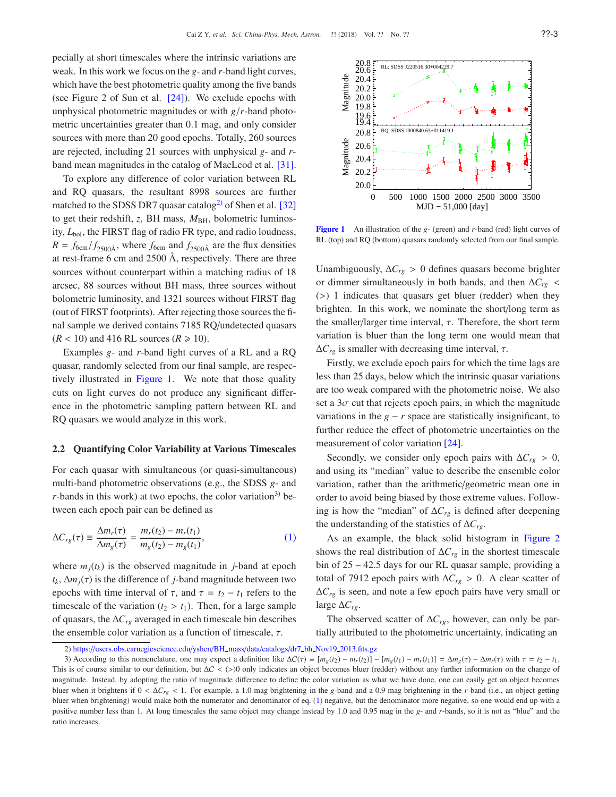pecially at short timescales where the intrinsic variations are weak. In this work we focus on the *g*- and *r*-band light curves, which have the best photometric quality among the five bands (see Figure 2 of Sun et al. [\[24\]](#page-12-15)). We exclude epochs with unphysical photometric magnitudes or with *g*/*r*-band photometric uncertainties greater than 0.1 mag, and only consider sources with more than 20 good epochs. Totally, 260 sources are rejected, including 21 sources with unphysical *g*- and *r*band mean magnitudes in the catalog of MacLeod et al. [\[31\]](#page-12-20).

To explore any difference of color variation between RL and RQ quasars, the resultant 8998 sources are further matched to the SDSS DR7 quasar catalog<sup>[2\)](#page-2-0)</sup> of Shen et al. [\[32\]](#page-12-21) to get their redshift, *z*, BH mass,  $M_{BH}$ , bolometric luminosity,  $L_{bol}$ , the FIRST flag of radio FR type, and radio loudness,  $R = f_{6cm}/f_{2500\text{\AA}}$ , where  $f_{6cm}$  and  $f_{2500\text{\AA}}$  are the flux densities at rest-frame 6 cm and 2500 Å, respectively. There are three sources without counterpart within a matching radius of 18 arcsec, 88 sources without BH mass, three sources without bolometric luminosity, and 1321 sources without FIRST flag (out of FIRST footprints). After rejecting those sources the final sample we derived contains 7185 RQ/undetected quasars  $(R < 10)$  and 416 RL sources  $(R \ge 10)$ .

Examples *g*- and *r*-band light curves of a RL and a RQ quasar, randomly selected from our final sample, are respectively illustrated in Figure [1.](#page-2-1) We note that those quality cuts on light curves do not produce any significant difference in the photometric sampling pattern between RL and RQ quasars we would analyze in this work.

#### <span id="page-2-4"></span>2.2 Quantifying Color Variability at Various Timescales

For each quasar with simultaneous (or quasi-simultaneous) multi-band photometric observations (e.g., the SDSS *g*- and  $r$ -bands in this work) at two epochs, the color variation<sup>[3\)](#page-2-2)</sup> between each epoch pair can be defined as

$$
\Delta C_{rg}(\tau) \equiv \frac{\Delta m_r(\tau)}{\Delta m_g(\tau)} = \frac{m_r(t_2) - m_r(t_1)}{m_g(t_2) - m_g(t_1)},\tag{1}
$$

where  $m_i(t_k)$  is the observed magnitude in *j*-band at epoch  $t_k$ ,  $\Delta m_j(\tau)$  is the difference of *j*-band magnitude between two epochs with time interval of  $\tau$ , and  $\tau = t_2 - t_1$  refers to the timescale of the variation  $(t_2 > t_1)$ . Then, for a large sample of quasars, the ∆*Crg* averaged in each timescale bin describes the ensemble color variation as a function of timescale,  $\tau$ .



<span id="page-2-1"></span>Figure 1 An illustration of the *g*- (green) and *r*-band (red) light curves of RL (top) and RQ (bottom) quasars randomly selected from our final sample.

Unambiguously,  $\Delta C_{rg} > 0$  defines quasars become brighter or dimmer simultaneously in both bands, and then ∆*Crg* < (>) 1 indicates that quasars get bluer (redder) when they brighten. In this work, we nominate the short/long term as the smaller/larger time interval,  $\tau$ . Therefore, the short term variation is bluer than the long term one would mean that  $\Delta C_{rg}$  is smaller with decreasing time interval,  $\tau$ .

Firstly, we exclude epoch pairs for which the time lags are less than 25 days, below which the intrinsic quasar variations are too weak compared with the photometric noise. We also set a  $3\sigma$  cut that rejects epoch pairs, in which the magnitude variations in the  $g - r$  space are statistically insignificant, to further reduce the effect of photometric uncertainties on the measurement of color variation [\[24\]](#page-12-15).

Secondly, we consider only epoch pairs with  $\Delta C_{rg} > 0$ , and using its "median" value to describe the ensemble color variation, rather than the arithmetic/geometric mean one in order to avoid being biased by those extreme values. Following is how the "median" of ∆*Crg* is defined after deepening the understanding of the statistics of ∆*Crg*.

<span id="page-2-3"></span>As an example, the black solid histogram in Figure [2](#page-3-0) shows the real distribution of  $\Delta C_{rg}$  in the shortest timescale bin of 25 – 42.5 days for our RL quasar sample, providing a total of 7912 epoch pairs with ∆*Crg* > 0. A clear scatter of ∆*Crg* is seen, and note a few epoch pairs have very small or large ∆*Crg*.

The observed scatter of ∆*Crg*, however, can only be partially attributed to the photometric uncertainty, indicating an

<span id="page-2-2"></span><span id="page-2-0"></span><sup>2)</sup> https://[users.obs.carnegiescience.edu](https://users.obs.carnegiescience.edu/yshen/BH_mass/data/catalogs/dr7_bh_Nov19_2013.fits.gz)/yshen/BH\_mass/data/catalogs/dr7\_bh\_Nov19\_2013.fits.gz

<sup>3)</sup> According to this nomenclature, one may expect a definition like  $\Delta C(\tau) \equiv [m_e(t_2) - m_r(t_2)] - [m_e(t_1) - m_r(t_1)] = \Delta m_e(\tau) - \Delta m_r(\tau)$  with  $\tau = t_2 - t_1$ . This is of course similar to our definition, but  $\Delta C$  < (>)0 only indicates an object becomes bluer (redder) without any further information on the change of magnitude. Instead, by adopting the ratio of magnitude difference to define the color variation as what we have done, one can easily get an object becomes bluer when it brightens if 0 < ∆*Crg* < 1. For example, a 1.0 mag brightening in the *g*-band and a 0.9 mag brightening in the *r*-band (i.e., an object getting bluer when brightening) would make both the numerator and denominator of eq. [\(1\)](#page-2-3) negative, but the denominator more negative, so one would end up with a positive number less than 1. At long timescales the same object may change instead by 1.0 and 0.95 mag in the *g*- and *r*-bands, so it is not as "blue" and the ratio increases.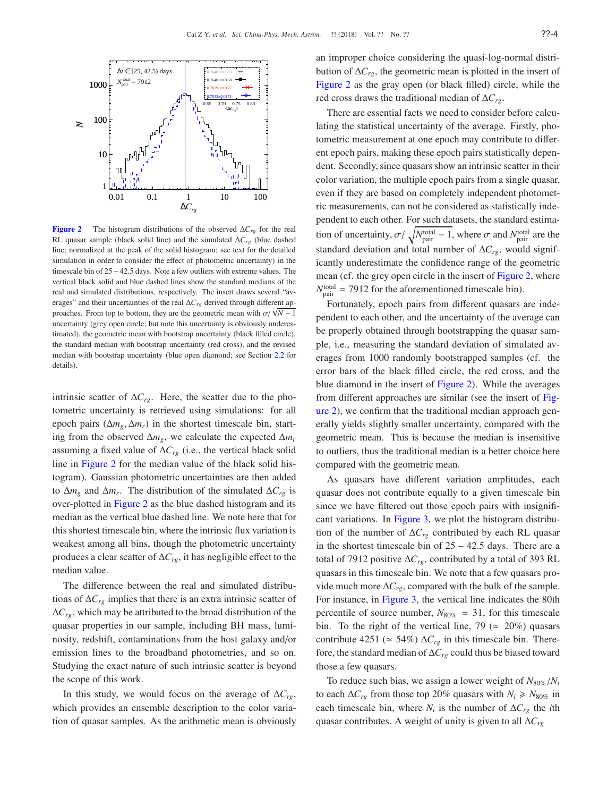

<span id="page-3-0"></span>Figure 2 The histogram distributions of the observed ∆*Crg* for the real RL quasar sample (black solid line) and the simulated ∆*Crg* (blue dashed line; normalized at the peak of the solid histogram; see text for the detailed simulation in order to consider the effect of photometric uncertainty) in the timescale bin of 25 – 42.5 days. Note a few outliers with extreme values. The vertical black solid and blue dashed lines show the standard medians of the real and simulated distributions, respectively. The insert draws several "averages" and their uncertainties of the real ∆*Crg* derived through different approaches. From top to bottom, they are the geometric mean with  $\sigma/\sqrt{N-1}$ uncertainty (grey open circle; but note this uncertainty is obviously underestimated), the geometric mean with bootstrap uncertainty (black filled circle), the standard median with bootstrap uncertainty (red cross), and the revised median with bootstrap uncertainty (blue open diamond; see Section [2.2](#page-2-4) for details).

intrinsic scatter of  $\Delta C_{rg}$ . Here, the scatter due to the photometric uncertainty is retrieved using simulations: for all epoch pairs ( $\Delta m_g$ ,  $\Delta m_r$ ) in the shortest timescale bin, starting from the observed ∆*mg*, we calculate the expected ∆*m<sup>r</sup>* assuming a fixed value of ∆*Crg* (i.e., the vertical black solid line in Figure [2](#page-3-0) for the median value of the black solid histogram). Gaussian photometric uncertainties are then added to  $\Delta m_g$  and  $\Delta m_r$ . The distribution of the simulated  $\Delta C_{rg}$  is over-plotted in Figure [2](#page-3-0) as the blue dashed histogram and its median as the vertical blue dashed line. We note here that for this shortest timescale bin, where the intrinsic flux variation is weakest among all bins, though the photometric uncertainty produces a clear scatter of ∆*Crg*, it has negligible effect to the median value.

The difference between the real and simulated distributions of ∆*Crg* implies that there is an extra intrinsic scatter of ∆*Crg*, which may be attributed to the broad distribution of the quasar properties in our sample, including BH mass, luminosity, redshift, contaminations from the host galaxy and/or emission lines to the broadband photometries, and so on. Studying the exact nature of such intrinsic scatter is beyond the scope of this work.

In this study, we would focus on the average of ∆*Crg*, which provides an ensemble description to the color variation of quasar samples. As the arithmetic mean is obviously an improper choice considering the quasi-log-normal distribution of ∆*Crg*, the geometric mean is plotted in the insert of Figure [2](#page-3-0) as the gray open (or black filled) circle, while the red cross draws the traditional median of ∆*Crg*.

There are essential facts we need to consider before calculating the statistical uncertainty of the average. Firstly, photometric measurement at one epoch may contribute to different epoch pairs, making these epoch pairs statistically dependent. Secondly, since quasars show an intrinsic scatter in their color variation, the multiple epoch pairs from a single quasar, even if they are based on completely independent photometric measurements, can not be considered as statistically independent to each other. For such datasets, the standard estimation of uncertainty,  $\sigma / \sqrt{N_{\text{pair}}^{\text{total}} - 1}$ , where  $\sigma$  and  $N_{\text{pair}}^{\text{total}}$  are the standard deviation and total number of ∆*Crg*, would significantly underestimate the confidence range of the geometric mean (cf. the grey open circle in the insert of Figure [2,](#page-3-0) where  $N_{\text{pair}}^{\text{total}} = 7912$  for the aforementioned timescale bin).

Fortunately, epoch pairs from different quasars are independent to each other, and the uncertainty of the average can be properly obtained through bootstrapping the quasar sample, i.e., measuring the standard deviation of simulated averages from 1000 randomly bootstrapped samples (cf. the error bars of the black filled circle, the red cross, and the blue diamond in the insert of Figure [2\)](#page-3-0). While the averages from different approaches are similar (see the insert of Figure [2\)](#page-3-0), we confirm that the traditional median approach generally yields slightly smaller uncertainty, compared with the geometric mean. This is because the median is insensitive to outliers, thus the traditional median is a better choice here compared with the geometric mean.

As quasars have different variation amplitudes, each quasar does not contribute equally to a given timescale bin since we have filtered out those epoch pairs with insignificant variations. In Figure [3,](#page-4-1) we plot the histogram distribution of the number of ∆*Crg* contributed by each RL quasar in the shortest timescale bin of  $25 - 42.5$  days. There are a total of 7912 positive ∆*Crg*, contributed by a total of 393 RL quasars in this timescale bin. We note that a few quasars provide much more ∆*Crg*, compared with the bulk of the sample. For instance, in Figure [3,](#page-4-1) the vertical line indicates the 80th percentile of source number,  $N_{80\%} = 31$ , for this timescale bin. To the right of the vertical line, 79 ( $\simeq$  20%) quasars contribute 4251 ( $\simeq$  54%)  $\Delta C_{rg}$  in this timescale bin. Therefore, the standard median of ∆*Crg* could thus be biased toward those a few quasars.

To reduce such bias, we assign a lower weight of  $N_{80\%}/N_i$ to each  $\Delta C_{rg}$  from those top 20% quasars with  $N_i$  ≥  $N_{80\%}$  in each timescale bin, where  $N_i$  is the number of  $\Delta C_{rg}$  the *i*th quasar contributes. A weight of unity is given to all ∆*Crg*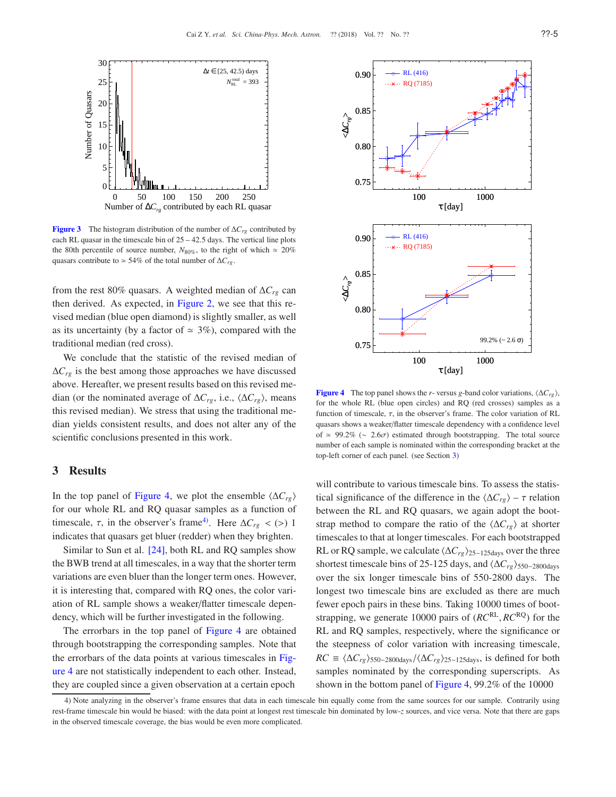

<span id="page-4-1"></span>Figure 3 The histogram distribution of the number of ∆*Crg* contributed by each RL quasar in the timescale bin of  $25 - 42.5$  days. The vertical line plots the 80th percentile of source number,  $N_{80\%}$ , to the right of which  $\simeq 20\%$ quasars contribute to  $\simeq$  54% of the total number of  $\Delta C_{rg}$ .

from the rest 80% quasars. A weighted median of ∆*Crg* can then derived. As expected, in Figure [2,](#page-3-0) we see that this revised median (blue open diamond) is slightly smaller, as well as its uncertainty (by a factor of  $\approx$  3%), compared with the traditional median (red cross).

We conclude that the statistic of the revised median of  $\Delta C_{rg}$  is the best among those approaches we have discussed above. Hereafter, we present results based on this revised median (or the nominated average of  $\Delta C_{rg}$ , i.e.,  $\langle \Delta C_{rg} \rangle$ , means this revised median). We stress that using the traditional median yields consistent results, and does not alter any of the scientific conclusions presented in this work.

# <span id="page-4-0"></span>3 Results

In the top panel of Figure [4,](#page-4-2) we plot the ensemble  $\langle \Delta C_{r\rho} \rangle$ for our whole RL and RQ quasar samples as a function of timescale,  $\tau$ , in the observer's frame<sup>4</sup>. Here  $\Delta C_{rg}$  < (>) 1 indicates that quasars get bluer (redder) when they brighten.

Similar to Sun et al. [\[24\]](#page-12-15), both RL and RQ samples show the BWB trend at all timescales, in a way that the shorter term variations are even bluer than the longer term ones. However, it is interesting that, compared with RQ ones, the color variation of RL sample shows a weaker/flatter timescale dependency, which will be further investigated in the following.

The errorbars in the top panel of Figure [4](#page-4-2) are obtained through bootstrapping the corresponding samples. Note that the errorbars of the data points at various timescales in Figure [4](#page-4-2) are not statistically independent to each other. Instead, they are coupled since a given observation at a certain epoch



<span id="page-4-2"></span>Figure 4 The top panel shows the *r*- versus *g*-band color variations,  $\langle \Delta C_{rg} \rangle$ , for the whole RL (blue open circles) and RQ (red crosses) samples as a function of timescale,  $\tau$ , in the observer's frame. The color variation of RL quasars shows a weaker/flatter timescale dependency with a confidence level of  $\simeq$  99.2% ( $\sim$  2.6 $\sigma$ ) estimated through bootstrapping. The total source number of each sample is nominated within the corresponding bracket at the top-left corner of each panel. (see Section [3\)](#page-4-0)

will contribute to various timescale bins. To assess the statistical significance of the difference in the  $\langle \Delta C_{rg} \rangle$  –  $\tau$  relation between the RL and RQ quasars, we again adopt the bootstrap method to compare the ratio of the  $\langle \Delta C_{rg} \rangle$  at shorter timescales to that at longer timescales. For each bootstrapped RL or RQ sample, we calculate  $\langle \Delta C_{rg} \rangle_{25-125 \text{days}}$  over the three shortest timescale bins of 25-125 days, and  $\langle \Delta C_{rg} \rangle_{550-2800 \text{days}}$ over the six longer timescale bins of 550-2800 days. The longest two timescale bins are excluded as there are much fewer epoch pairs in these bins. Taking 10000 times of bootstrapping, we generate 10000 pairs of (*RC*<sup>RL</sup>, *RC*<sup>RQ</sup>) for the RL and RQ samples, respectively, where the significance or the steepness of color variation with increasing timescale,  $RC \equiv \langle \Delta C_{rg} \rangle_{550-2800 \text{days}}/\langle \Delta C_{rg} \rangle_{25-125 \text{days}}$ , is defined for both samples nominated by the corresponding superscripts. As shown in the bottom panel of Figure [4,](#page-4-2) 99.2% of the 10000

<span id="page-4-3"></span><sup>4)</sup> Note analyzing in the observer's frame ensures that data in each timescale bin equally come from the same sources for our sample. Contrarily using rest-frame timescale bin would be biased: with the data point at longest rest timescale bin dominated by low-*z* sources, and vice versa. Note that there are gaps in the observed timescale coverage, the bias would be even more complicated.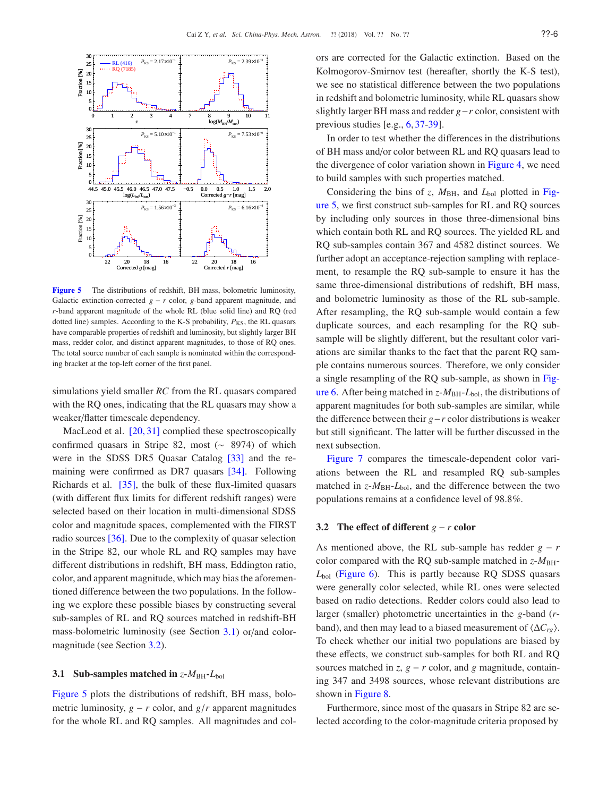

<span id="page-5-2"></span>Figure 5 The distributions of redshift, BH mass, bolometric luminosity, Galactic extinction-corrected  $g - r$  color,  $g$ -band apparent magnitude, and *r*-band apparent magnitude of the whole RL (blue solid line) and RQ (red dotted line) samples. According to the K-S probability,  $P_{KS}$ , the RL quasars have comparable properties of redshift and luminosity, but slightly larger BH mass, redder color, and distinct apparent magnitudes, to those of RQ ones. The total source number of each sample is nominated within the corresponding bracket at the top-left corner of the first panel.

simulations yield smaller *RC* from the RL quasars compared with the RQ ones, indicating that the RL quasars may show a weaker/flatter timescale dependency.

MacLeod et al. [\[20,](#page-12-22) [31\]](#page-12-20) complied these spectroscopically confirmed quasars in Stripe 82, most (∼ 8974) of which were in the SDSS DR5 Quasar Catalog [\[33\]](#page-12-23) and the remaining were confirmed as DR7 quasars [\[34\]](#page-12-24). Following Richards et al. [\[35\]](#page-12-25), the bulk of these flux-limited quasars (with different flux limits for different redshift ranges) were selected based on their location in multi-dimensional SDSS color and magnitude spaces, complemented with the FIRST radio sources [\[36\]](#page-12-26). Due to the complexity of quasar selection in the Stripe 82, our whole RL and RQ samples may have different distributions in redshift, BH mass, Eddington ratio, color, and apparent magnitude, which may bias the aforementioned difference between the two populations. In the following we explore these possible biases by constructing several sub-samples of RL and RQ sources matched in redshift-BH mass-bolometric luminosity (see Section [3.1\)](#page-5-0) or/and colormagnitude (see Section [3.2\)](#page-5-1).

## <span id="page-5-0"></span>3.1 Sub-samples matched in  $z$ - $M_{BH}$ - $L_{bol}$

Figure [5](#page-5-2) plots the distributions of redshift, BH mass, bolometric luminosity,  $g - r$  color, and  $g/r$  apparent magnitudes for the whole RL and RQ samples. All magnitudes and colors are corrected for the Galactic extinction. Based on the Kolmogorov-Smirnov test (hereafter, shortly the K-S test), we see no statistical difference between the two populations in redshift and bolometric luminosity, while RL quasars show slightly larger BH mass and redder *g*−*r* color, consistent with previous studies [e.g., [6,](#page-12-2) [37-](#page-13-0)[39\]](#page-13-1).

In order to test whether the differences in the distributions of BH mass and/or color between RL and RQ quasars lead to the divergence of color variation shown in Figure [4,](#page-4-2) we need to build samples with such properties matched.

Considering the bins of *z*,  $M_{BH}$ , and  $L_{bol}$  plotted in Figure [5,](#page-5-2) we first construct sub-samples for RL and RQ sources by including only sources in those three-dimensional bins which contain both RL and RQ sources. The yielded RL and RQ sub-samples contain 367 and 4582 distinct sources. We further adopt an acceptance-rejection sampling with replacement, to resample the RQ sub-sample to ensure it has the same three-dimensional distributions of redshift, BH mass, and bolometric luminosity as those of the RL sub-sample. After resampling, the RQ sub-sample would contain a few duplicate sources, and each resampling for the RQ subsample will be slightly different, but the resultant color variations are similar thanks to the fact that the parent RQ sample contains numerous sources. Therefore, we only consider a single resampling of the RQ sub-sample, as shown in Fig-ure [6.](#page-6-0) After being matched in  $z$ - $M_{BH}$ - $L_{bol}$ , the distributions of apparent magnitudes for both sub-samples are similar, while the difference between their *g*−*r* color distributions is weaker but still significant. The latter will be further discussed in the next subsection.

Figure [7](#page-6-1) compares the timescale-dependent color variations between the RL and resampled RQ sub-samples matched in  $z$ - $M_{BH}$ - $L_{bol}$ , and the difference between the two populations remains at a confidence level of 98.8%.

### <span id="page-5-1"></span>3.2 The effect of different  $g - r$  color

As mentioned above, the RL sub-sample has redder  $g - r$ color compared with the RQ sub-sample matched in  $z$ - $M_{\text{BH}}$ -*L*bol (Figure [6\)](#page-6-0). This is partly because RQ SDSS quasars were generally color selected, while RL ones were selected based on radio detections. Redder colors could also lead to larger (smaller) photometric uncertainties in the *g*-band (*r*band), and then may lead to a biased measurement of  $\langle \Delta C_{rg} \rangle$ . To check whether our initial two populations are biased by these effects, we construct sub-samples for both RL and RQ sources matched in *z*,  $g - r$  color, and *g* magnitude, containing 347 and 3498 sources, whose relevant distributions are shown in Figure [8.](#page-6-2)

Furthermore, since most of the quasars in Stripe 82 are selected according to the color-magnitude criteria proposed by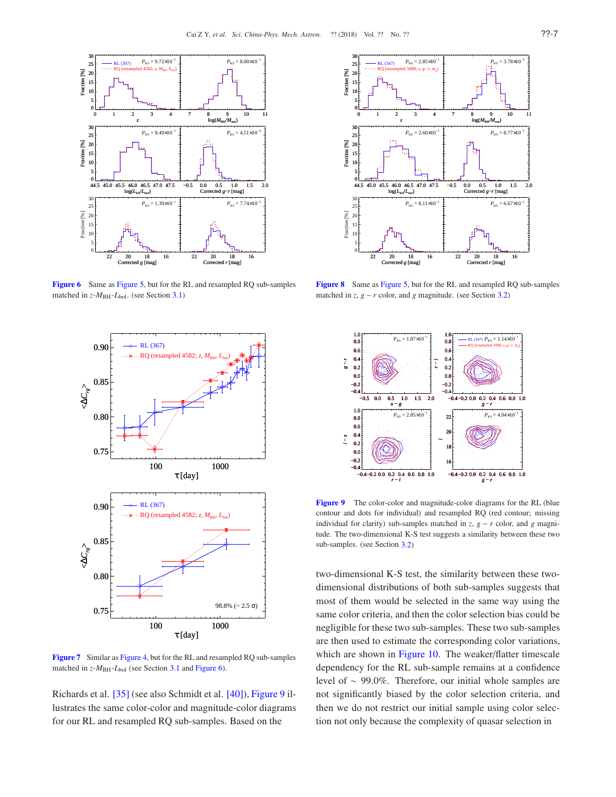

Figure 6 Same as Figure [5,](#page-5-2) but for the RL and resampled RQ sub-samples matched in  $z$ - $M$ <sub>BH</sub>- $L$ <sub>bol</sub>. (see Section [3.1\)](#page-5-0)

<span id="page-6-0"></span>

<span id="page-6-1"></span>Figure 7 Similar as Figure [4,](#page-4-2) but for the RL and resampled RQ sub-samples matched in *z*- $M_{\text{BH}}$ - $L_{\text{bol}}$  (see Section [3.1](#page-5-0) and Figure [6\)](#page-6-0).

Richards et al. [\[35\]](#page-12-25) (see also Schmidt et al. [\[40\]](#page-13-2)), Figure [9](#page-6-3) illustrates the same color-color and magnitude-color diagrams for our RL and resampled RQ sub-samples. Based on the



<span id="page-6-2"></span>Figure 8 Same as Figure [5,](#page-5-2) but for the RL and resampled RQ sub-samples matched in  $z$ ,  $g - r$  color, and  $g$  magnitude. (see Section [3.2\)](#page-5-1)



<span id="page-6-3"></span>Figure 9 The color-color and magnitude-color diagrams for the RL (blue contour and dots for individual) and resampled RQ (red contour; missing individual for clarity) sub-samples matched in  $z$ ,  $g - r$  color, and  $g$  magnitude. The two-dimensional K-S test suggests a similarity between these two sub-samples. (see Section [3.2\)](#page-5-1)

two-dimensional K-S test, the similarity between these twodimensional distributions of both sub-samples suggests that most of them would be selected in the same way using the same color criteria, and then the color selection bias could be negligible for these two sub-samples. These two sub-samples are then used to estimate the corresponding color variations, which are shown in Figure [10.](#page-7-0) The weaker/flatter timescale dependency for the RL sub-sample remains at a confidence level of ∼ 99.0%. Therefore, our initial whole samples are not significantly biased by the color selection criteria, and then we do not restrict our initial sample using color selection not only because the complexity of quasar selection in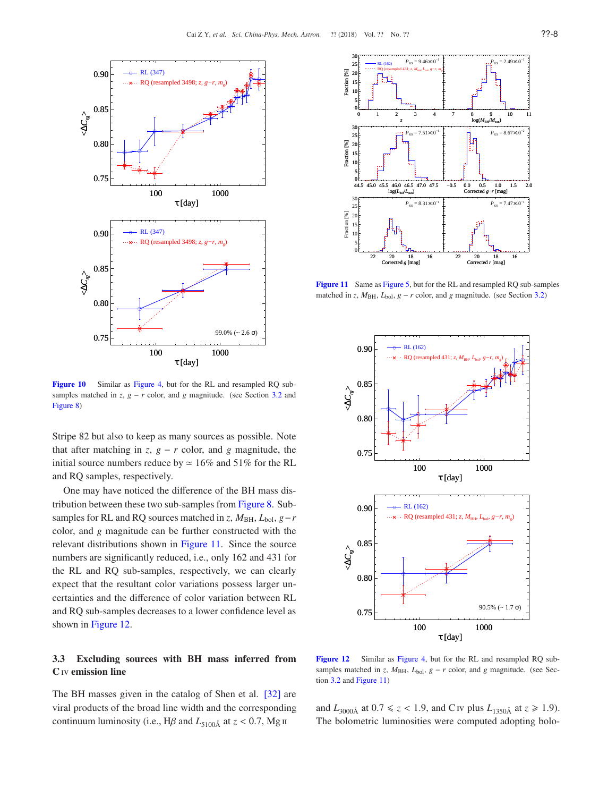

<span id="page-7-0"></span>Figure 10 Similar as Figure [4,](#page-4-2) but for the RL and resampled RQ subsamples matched in *z*,  $g - r$  color, and  $g$  magnitude. (see Section [3.2](#page-5-1) and Figure [8\)](#page-6-2)

Stripe 82 but also to keep as many sources as possible. Note that after matching in  $z$ ,  $g - r$  color, and  $g$  magnitude, the initial source numbers reduce by  $\simeq 16\%$  and 51% for the RL and RQ samples, respectively.

One may have noticed the difference of the BH mass distribution between these two sub-samples from Figure [8.](#page-6-2) Subsamples for RL and RQ sources matched in *z*,  $M_{BH}$ ,  $L_{bol}$ ,  $g-r$ color, and *g* magnitude can be further constructed with the relevant distributions shown in Figure [11.](#page-7-1) Since the source numbers are significantly reduced, i.e., only 162 and 431 for the RL and RQ sub-samples, respectively, we can clearly expect that the resultant color variations possess larger uncertainties and the difference of color variation between RL and RQ sub-samples decreases to a lower confidence level as shown in Figure [12.](#page-7-2)

# <span id="page-7-3"></span>3.3 Excluding sources with BH mass inferred from C iv emission line

The BH masses given in the catalog of Shen et al. [\[32\]](#page-12-21) are viral products of the broad line width and the corresponding continuum luminosity (i.e., H $\beta$  and  $L_{5100\text{\AA}}$  at  $z < 0.7$ , Mg ii



Figure 11 Same as Figure [5,](#page-5-2) but for the RL and resampled RQ sub-samples matched in *z*,  $M_{BH}$ ,  $L_{bol}$ ,  $g - r$  color, and *g* magnitude. (see Section [3.2\)](#page-5-1)

<span id="page-7-1"></span>

<span id="page-7-2"></span>Figure 12 Similar as Figure [4,](#page-4-2) but for the RL and resampled RQ subsamples matched in *z*,  $M_{BH}$ ,  $L_{bol}$ ,  $g - r$  color, and *g* magnitude. (see Section [3.2](#page-5-1) and Figure [11\)](#page-7-1)

and  $L_{3000\text{\AA}}$  at  $0.7 \le z < 1.9$ , and C iv plus  $L_{1350\text{\AA}}$  at  $z \ge 1.9$ ). The bolometric luminosities were computed adopting bolo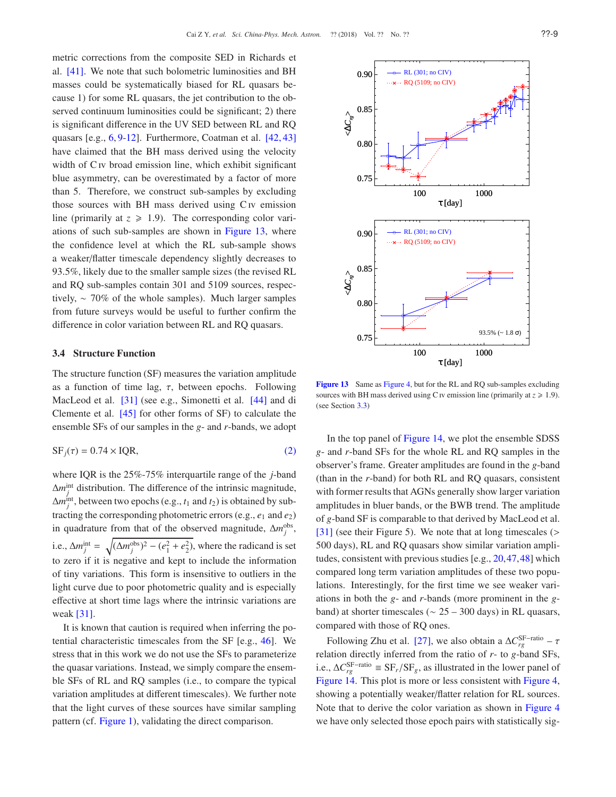metric corrections from the composite SED in Richards et al. [\[41\]](#page-13-3). We note that such bolometric luminosities and BH masses could be systematically biased for RL quasars because 1) for some RL quasars, the jet contribution to the observed continuum luminosities could be significant; 2) there is significant difference in the UV SED between RL and RQ quasars [e.g., [6,](#page-12-2) [9](#page-12-5)[-12\]](#page-12-6). Furthermore, Coatman et al. [\[42,](#page-13-4) [43\]](#page-13-5) have claimed that the BH mass derived using the velocity width of C<sub>IV</sub> broad emission line, which exhibit significant blue asymmetry, can be overestimated by a factor of more than 5. Therefore, we construct sub-samples by excluding those sources with BH mass derived using C<sub>IV</sub> emission line (primarily at  $z \ge 1.9$ ). The corresponding color variations of such sub-samples are shown in Figure [13,](#page-8-0) where the confidence level at which the RL sub-sample shows a weaker/flatter timescale dependency slightly decreases to 93.5%, likely due to the smaller sample sizes (the revised RL and RQ sub-samples contain 301 and 5109 sources, respectively, ∼ 70% of the whole samples). Much larger samples from future surveys would be useful to further confirm the difference in color variation between RL and RQ quasars.

## <span id="page-8-1"></span>3.4 Structure Function

The structure function (SF) measures the variation amplitude as a function of time lag,  $\tau$ , between epochs. Following MacLeod et al. [\[31\]](#page-12-20) (see e.g., Simonetti et al. [\[44\]](#page-13-6) and di Clemente et al. [\[45\]](#page-13-7) for other forms of SF) to calculate the ensemble SFs of our samples in the *g*- and *r*-bands, we adopt

$$
SF_j(\tau) = 0.74 \times IQR,\tag{2}
$$

where IQR is the 25%-75% interquartile range of the *j*-band  $\Delta m_j^{\text{int}}$  distribution. The difference of the intrinsic magnitude,  $\Delta m_j^{\text{int}}$ , between two epochs (e.g.,  $t_1$  and  $t_2$ ) is obtained by subtracting the corresponding photometric errors (e.g., *e*<sup>1</sup> and *e*2) in quadrature from that of the observed magnitude,  $\Delta m_j^{\text{obs}}$ , i.e.,  $\Delta m_j^{\text{int}} = \sqrt{(\Delta m_j^{\text{obs}})^2 - (e_1^2 + e_2^2)}$ , where the radicand is set to zero if it is negative and kept to include the information of tiny variations. This form is insensitive to outliers in the light curve due to poor photometric quality and is especially effective at short time lags where the intrinsic variations are weak [\[31\]](#page-12-20).

It is known that caution is required when inferring the potential characteristic timescales from the SF [e.g., [46\]](#page-13-8). We stress that in this work we do not use the SFs to parameterize the quasar variations. Instead, we simply compare the ensemble SFs of RL and RQ samples (i.e., to compare the typical variation amplitudes at different timescales). We further note that the light curves of these sources have similar sampling pattern (cf. Figure [1\)](#page-2-1), validating the direct comparison.



<span id="page-8-0"></span>Figure 13 Same as Figure [4,](#page-4-2) but for the RL and RQ sub-samples excluding sources with BH mass derived using C *v* emission line (primarily at  $z \ge 1.9$ ). (see Section [3.3\)](#page-7-3)

In the top panel of Figure [14,](#page-9-1) we plot the ensemble SDSS *g*- and *r*-band SFs for the whole RL and RQ samples in the observer's frame. Greater amplitudes are found in the *g*-band (than in the *r*-band) for both RL and RQ quasars, consistent with former results that AGNs generally show larger variation amplitudes in bluer bands, or the BWB trend. The amplitude of *g*-band SF is comparable to that derived by MacLeod et al. [\[31\]](#page-12-20) (see their Figure 5). We note that at long timescales (> 500 days), RL and RQ quasars show similar variation amplitudes, consistent with previous studies [e.g., [20,](#page-12-22)[47,](#page-13-9)[48\]](#page-13-10) which compared long term variation amplitudes of these two populations. Interestingly, for the first time we see weaker variations in both the *g*- and *r*-bands (more prominent in the *g*band) at shorter timescales ( $\sim$  25 – 300 days) in RL quasars, compared with those of RQ ones.

Following Zhu et al. [\[27\]](#page-12-16), we also obtain a  $\Delta C_{rg}^{\rm SF-ratio}$  –  $\tau$ relation directly inferred from the ratio of *r*- to *g*-band SFs, i.e.,  $\Delta C_{rg}^{\text{SF–ratio}}$  ≡  $\text{SF}_{r}/\text{SF}_{g}$ , as illustrated in the lower panel of Figure [14.](#page-9-1) This plot is more or less consistent with Figure [4,](#page-4-2) showing a potentially weaker/flatter relation for RL sources. Note that to derive the color variation as shown in Figure [4](#page-4-2) we have only selected those epoch pairs with statistically sig-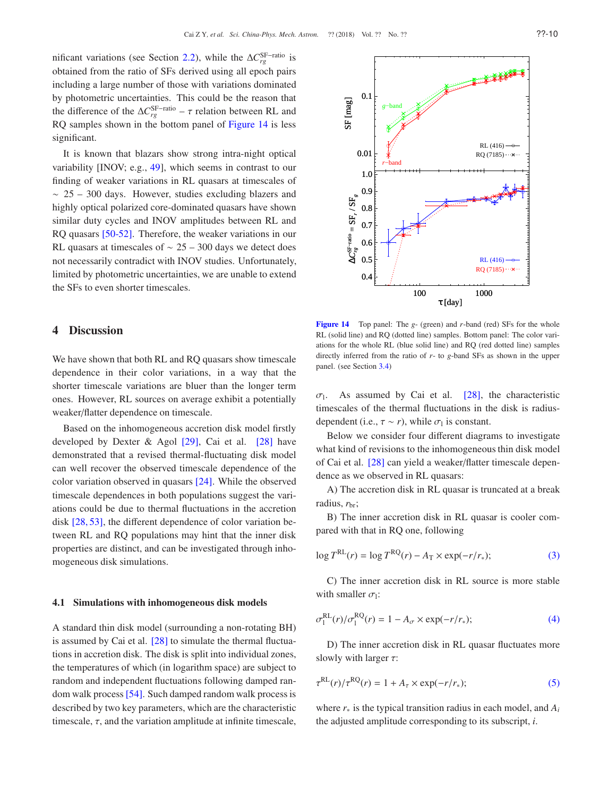nificant variations (see Section [2.2\)](#page-2-4), while the  $\Delta C_{rg}^{\rm SF-ratio}$  is obtained from the ratio of SFs derived using all epoch pairs including a large number of those with variations dominated by photometric uncertainties. This could be the reason that the difference of the  $\Delta C_{rg}^{\rm SF-ratio}$  –  $\tau$  relation between RL and RQ samples shown in the bottom panel of Figure [14](#page-9-1) is less significant.

It is known that blazars show strong intra-night optical variability [INOV; e.g., [49\]](#page-13-11), which seems in contrast to our finding of weaker variations in RL quasars at timescales of  $~\sim~25-300$  days. However, studies excluding blazers and highly optical polarized core-dominated quasars have shown similar duty cycles and INOV amplitudes between RL and RQ quasars [\[50-](#page-13-12)[52\]](#page-13-13). Therefore, the weaker variations in our RL quasars at timescales of  $\sim$  25 – 300 days we detect does not necessarily contradict with INOV studies. Unfortunately, limited by photometric uncertainties, we are unable to extend the SFs to even shorter timescales.

## <span id="page-9-0"></span>4 Discussion

We have shown that both RL and RQ quasars show timescale dependence in their color variations, in a way that the shorter timescale variations are bluer than the longer term ones. However, RL sources on average exhibit a potentially weaker/flatter dependence on timescale.

Based on the inhomogeneous accretion disk model firstly developed by Dexter & Agol [\[29\]](#page-12-18), Cai et al. [\[28\]](#page-12-17) have demonstrated that a revised thermal-fluctuating disk model can well recover the observed timescale dependence of the color variation observed in quasars [\[24\]](#page-12-15). While the observed timescale dependences in both populations suggest the variations could be due to thermal fluctuations in the accretion disk [\[28,](#page-12-17) [53\]](#page-13-14), the different dependence of color variation between RL and RQ populations may hint that the inner disk properties are distinct, and can be investigated through inhomogeneous disk simulations.

#### <span id="page-9-2"></span>4.1 Simulations with inhomogeneous disk models

A standard thin disk model (surrounding a non-rotating BH) is assumed by Cai et al. [\[28\]](#page-12-17) to simulate the thermal fluctuations in accretion disk. The disk is split into individual zones, the temperatures of which (in logarithm space) are subject to random and independent fluctuations following damped random walk process[\[54\]](#page-13-15). Such damped random walk process is described by two key parameters, which are the characteristic timescale,  $\tau$ , and the variation amplitude at infinite timescale,

<span id="page-9-1"></span>Figure 14 Top panel: The *g*- (green) and *r*-band (red) SFs for the whole RL (solid line) and RQ (dotted line) samples. Bottom panel: The color variations for the whole RL (blue solid line) and RQ (red dotted line) samples directly inferred from the ratio of *r*- to *g*-band SFs as shown in the upper panel. (see Section [3.4\)](#page-8-1)

 $\sigma$ <sub>1</sub>. . As assumed by Cai et al. [\[28\]](#page-12-17), the characteristic timescales of the thermal fluctuations in the disk is radiusdependent (i.e.,  $\tau \sim r$ ), while  $\sigma_1$  is constant.

Below we consider four different diagrams to investigate what kind of revisions to the inhomogeneous thin disk model of Cai et al. [\[28\]](#page-12-17) can yield a weaker/flatter timescale dependence as we observed in RL quasars:

A) The accretion disk in RL quasar is truncated at a break radius,  $r_{\text{br}}$ ;

B) The inner accretion disk in RL quasar is cooler compared with that in RQ one, following

$$
\log T^{\text{RL}}(r) = \log T^{\text{RQ}}(r) - A_{\text{T}} \times \exp(-r/r_*); \tag{3}
$$

C) The inner accretion disk in RL source is more stable with smaller  $\sigma_1$ :

$$
\sigma_1^{\text{RL}}(r)/\sigma_1^{\text{RQ}}(r) = 1 - A_\sigma \times \exp(-r/r_*); \tag{4}
$$

D) The inner accretion disk in RL quasar fluctuates more slowly with larger  $\tau$ :

$$
\tau^{\text{RL}}(r)/\tau^{\text{RQ}}(r) = 1 + A_{\tau} \times \exp(-r/r_*); \tag{5}
$$

where  $r_*$  is the typical transition radius in each model, and  $A_i$ the adjusted amplitude corresponding to its subscript, *i*.

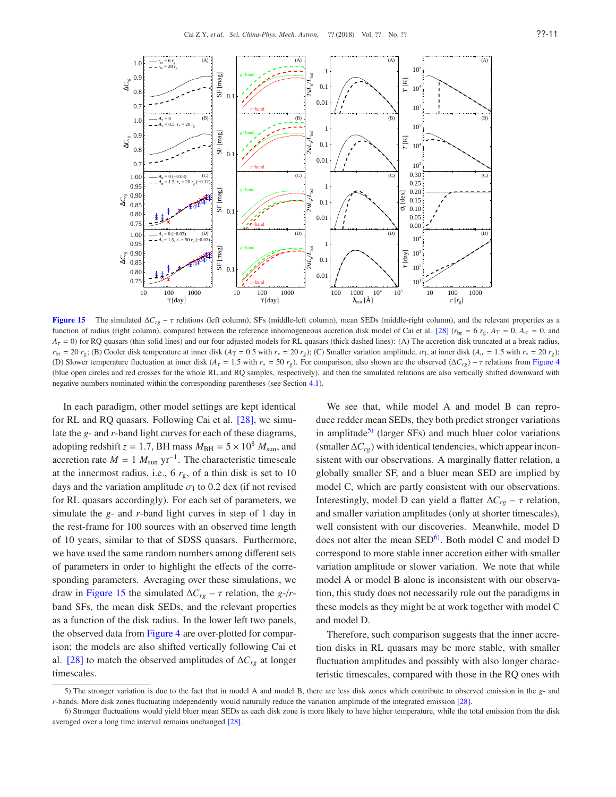

<span id="page-10-0"></span>**Figure 15** The simulated  $\Delta C_{rg}$  –  $\tau$  relations (left column), SFs (middle-left column), mean SEDs (middle-right column), and the relevant properties as a function of radius (right column), compared between the reference inhomogeneous accretion disk model of Cai et al. [\[28\]](#page-12-17) ( $r_{\rm br} = 6 r_{\rm g}$ ,  $A_T = 0$ ,  $A_{\sigma} = 0$ , and  $A<sub>T</sub> = 0$ ) for RQ quasars (thin solid lines) and our four adjusted models for RL quasars (thick dashed lines): (A) The accretion disk truncated at a break radius,  $r_{\text{br}} = 20$   $r_g$ ; (B) Cooler disk temperature at inner disk ( $A_T = 0.5$  with  $r_* = 20$   $r_g$ ); (C) Smaller variation amplitude,  $\sigma_1$ , at inner disk ( $A_\sigma = 1.5$  with  $r_* = 20$   $r_g$ ); (D) Slower temperature fluctuation at inner disk ( $A<sub>r</sub> = 1.5$  with  $r<sub>∗</sub> = 50$   $r<sub>g</sub>$ ). For comparison, also shown are the observed  $\langle \Delta C_{rg} \rangle - \tau$  relations from Figure [4](#page-4-2) (blue open circles and red crosses for the whole RL and RQ samples, respectively), and then the simulated relations are also vertically shifted downward with negative numbers nominated within the corresponding parentheses (see Section [4.1\)](#page-9-2).

In each paradigm, other model settings are kept identical for RL and RQ quasars. Following Cai et al. [\[28\]](#page-12-17), we simulate the *g*- and *r*-band light curves for each of these diagrams, adopting redshift  $z = 1.7$ , BH mass  $M_{BH} = 5 \times 10^8$   $M_{sun}$ , and accretion rate  $\dot{M} = 1 M_{sun}$  yr<sup>-1</sup>. The characteristic timescale at the innermost radius, i.e.,  $6 r_{\rm g}$ , of a thin disk is set to 10 days and the variation amplitude  $\sigma_1$  to 0.2 dex (if not revised for RL quasars accordingly). For each set of parameters, we simulate the *g*- and *r*-band light curves in step of 1 day in the rest-frame for 100 sources with an observed time length of 10 years, similar to that of SDSS quasars. Furthermore, we have used the same random numbers among different sets of parameters in order to highlight the effects of the corresponding parameters. Averaging over these simulations, we draw in Figure [15](#page-10-0) the simulated  $\Delta C_{rg}$  –  $\tau$  relation, the *g*-/*r*band SFs, the mean disk SEDs, and the relevant properties as a function of the disk radius. In the lower left two panels, the observed data from Figure [4](#page-4-2) are over-plotted for comparison; the models are also shifted vertically following Cai et al. [\[28\]](#page-12-17) to match the observed amplitudes of ∆*Crg* at longer timescales.

We see that, while model A and model B can reproduce redder mean SEDs, they both predict stronger variations in amplitude<sup>[5\)](#page-10-1)</sup> (larger SFs) and much bluer color variations (smaller ∆*Crg*) with identical tendencies, which appear inconsistent with our observations. A marginally flatter relation, a globally smaller SF, and a bluer mean SED are implied by model C, which are partly consistent with our observations. Interestingly, model D can yield a flatter  $\Delta C_{rg}$  –  $\tau$  relation, and smaller variation amplitudes (only at shorter timescales), well consistent with our discoveries. Meanwhile, model D does not alter the mean  $\text{SED}^6$ . Both model C and model D correspond to more stable inner accretion either with smaller variation amplitude or slower variation. We note that while model A or model B alone is inconsistent with our observation, this study does not necessarily rule out the paradigms in these models as they might be at work together with model C and model D.

Therefore, such comparison suggests that the inner accretion disks in RL quasars may be more stable, with smaller fluctuation amplitudes and possibly with also longer characteristic timescales, compared with those in the RQ ones with

<span id="page-10-1"></span><sup>5)</sup> The stronger variation is due to the fact that in model A and model B, there are less disk zones which contribute to observed emission in the *g*- and *r*-bands. More disk zones fluctuating independently would naturally reduce the variation amplitude of the integrated emission [\[28\]](#page-12-17).

<span id="page-10-2"></span><sup>6)</sup> Stronger fluctuations would yield bluer mean SEDs as each disk zone is more likely to have higher temperature, while the total emission from the disk averaged over a long time interval remains unchanged [\[28\]](#page-12-17).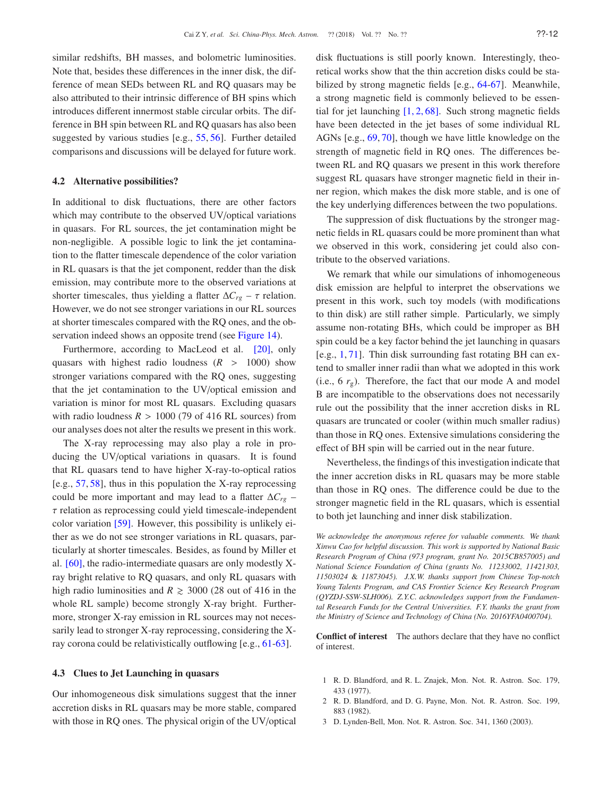similar redshifts, BH masses, and bolometric luminosities. Note that, besides these differences in the inner disk, the difference of mean SEDs between RL and RQ quasars may be also attributed to their intrinsic difference of BH spins which introduces different innermost stable circular orbits. The difference in BH spin between RL and RQ quasars has also been suggested by various studies [e.g., [55,](#page-13-16) [56\]](#page-13-17). Further detailed comparisons and discussions will be delayed for future work.

### 4.2 Alternative possibilities?

In additional to disk fluctuations, there are other factors which may contribute to the observed UV/optical variations in quasars. For RL sources, the jet contamination might be non-negligible. A possible logic to link the jet contamination to the flatter timescale dependence of the color variation in RL quasars is that the jet component, redder than the disk emission, may contribute more to the observed variations at shorter timescales, thus yielding a flatter  $\Delta C_{r}$  –  $\tau$  relation. However, we do not see stronger variations in our RL sources at shorter timescales compared with the RQ ones, and the ob-servation indeed shows an opposite trend (see Figure [14\)](#page-9-1).

Furthermore, according to MacLeod et al. [\[20\]](#page-12-22), only quasars with highest radio loudness  $(R > 1000)$  show stronger variations compared with the RQ ones, suggesting that the jet contamination to the UV/optical emission and variation is minor for most RL quasars. Excluding quasars with radio loudness  $R > 1000$  (79 of 416 RL sources) from our analyses does not alter the results we present in this work.

The X-ray reprocessing may also play a role in producing the UV/optical variations in quasars. It is found that RL quasars tend to have higher X-ray-to-optical ratios [e.g., [57,](#page-13-18) [58\]](#page-13-19), thus in this population the X-ray reprocessing could be more important and may lead to a flatter ∆*Crg* –  $\tau$  relation as reprocessing could yield timescale-independent color variation [\[59\]](#page-13-20). However, this possibility is unlikely either as we do not see stronger variations in RL quasars, particularly at shorter timescales. Besides, as found by Miller et al. [\[60\]](#page-13-21), the radio-intermediate quasars are only modestly Xray bright relative to RQ quasars, and only RL quasars with high radio luminosities and  $R \ge 3000$  (28 out of 416 in the whole RL sample) become strongly X-ray bright. Furthermore, stronger X-ray emission in RL sources may not necessarily lead to stronger X-ray reprocessing, considering the Xray corona could be relativistically outflowing [e.g., [61-](#page-13-22)[63\]](#page-13-23).

## 4.3 Clues to Jet Launching in quasars

Our inhomogeneous disk simulations suggest that the inner accretion disks in RL quasars may be more stable, compared with those in RQ ones. The physical origin of the UV/optical disk fluctuations is still poorly known. Interestingly, theoretical works show that the thin accretion disks could be stabilized by strong magnetic fields [e.g., [64-](#page-13-24)[67\]](#page-13-25). Meanwhile, a strong magnetic field is commonly believed to be essential for jet launching  $[1, 2, 68]$  $[1, 2, 68]$  $[1, 2, 68]$ . Such strong magnetic fields have been detected in the jet bases of some individual RL AGNs [e.g., [69,](#page-13-27) [70\]](#page-13-28), though we have little knowledge on the strength of magnetic field in RQ ones. The differences between RL and RQ quasars we present in this work therefore suggest RL quasars have stronger magnetic field in their inner region, which makes the disk more stable, and is one of the key underlying differences between the two populations.

The suppression of disk fluctuations by the stronger magnetic fields in RL quasars could be more prominent than what we observed in this work, considering jet could also contribute to the observed variations.

We remark that while our simulations of inhomogeneous disk emission are helpful to interpret the observations we present in this work, such toy models (with modifications to thin disk) are still rather simple. Particularly, we simply assume non-rotating BHs, which could be improper as BH spin could be a key factor behind the jet launching in quasars [e.g., [1,](#page-11-0) [71\]](#page-13-29). Thin disk surrounding fast rotating BH can extend to smaller inner radii than what we adopted in this work (i.e.,  $6 r_g$ ). Therefore, the fact that our mode A and model B are incompatible to the observations does not necessarily rule out the possibility that the inner accretion disks in RL quasars are truncated or cooler (within much smaller radius) than those in RQ ones. Extensive simulations considering the effect of BH spin will be carried out in the near future.

Nevertheless, the findings of this investigation indicate that the inner accretion disks in RL quasars may be more stable than those in RQ ones. The difference could be due to the stronger magnetic field in the RL quasars, which is essential to both jet launching and inner disk stabilization.

*We acknowledge the anonymous referee for valuable comments. We thank Xinwu Cao for helpful discussion. This work is supported by National Basic Research Program of China (973 program, grant No. 2015CB857005) and National Science Foundation of China (grants No. 11233002, 11421303, 11503024* & *11873045). J.X.W. thanks support from Chinese Top-notch Young Talents Program, and CAS Frontier Science Key Research Program (QYZDJ-SSW-SLH006). Z.Y.C. acknowledges support from the Fundamental Research Funds for the Central Universities. F.Y. thanks the grant from the Ministry of Science and Technology of China (No. 2016YFA0400704).*

Conflict of interest The authors declare that they have no conflict of interest.

- <span id="page-11-0"></span>1 R. D. Blandford, and R. L. Znajek, Mon. Not. R. Astron. Soc. 179, 433 (1977).
- <span id="page-11-1"></span>2 R. D. Blandford, and D. G. Payne, Mon. Not. R. Astron. Soc. 199, 883 (1982).
- <span id="page-11-2"></span>3 D. Lynden-Bell, Mon. Not. R. Astron. Soc. 341, 1360 (2003).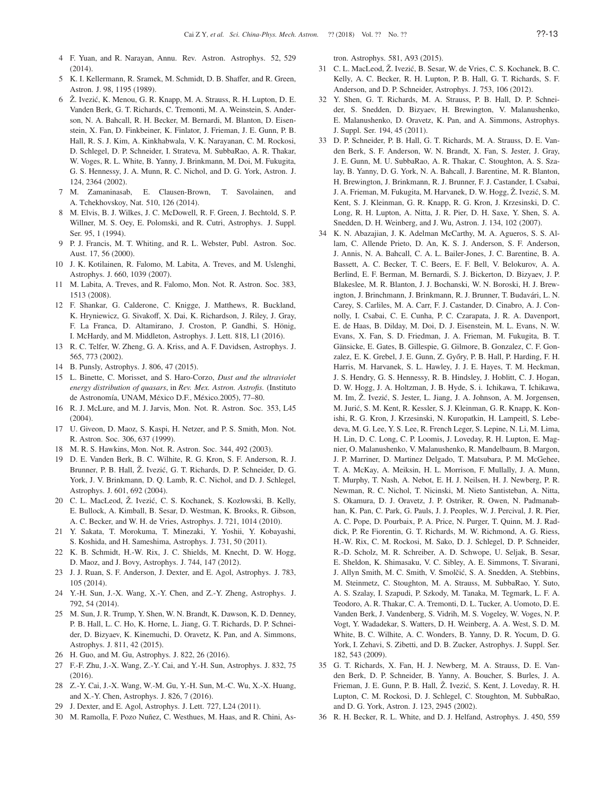- <span id="page-12-1"></span><span id="page-12-0"></span>4 F. Yuan, and R. Narayan, Annu. Rev. Astron. Astrophys. 52, 529 (2014).
- <span id="page-12-2"></span>5 K. I. Kellermann, R. Sramek, M. Schmidt, D. B. Shaffer, and R. Green, Astron. J. 98, 1195 (1989).
- Ż. Ivezić, K. Menou, G. R. Knapp, M. A. Strauss, R. H. Lupton, D. E. Vanden Berk, G. T. Richards, C. Tremonti, M. A. Weinstein, S. Anderson, N. A. Bahcall, R. H. Becker, M. Bernardi, M. Blanton, D. Eisenstein, X. Fan, D. Finkbeiner, K. Finlator, J. Frieman, J. E. Gunn, P. B. Hall, R. S. J. Kim, A. Kinkhabwala, V. K. Narayanan, C. M. Rockosi, D. Schlegel, D. P. Schneider, I. Strateva, M. SubbaRao, A. R. Thakar, W. Voges, R. L. White, B. Yanny, J. Brinkmann, M. Doi, M. Fukugita, G. S. Hennessy, J. A. Munn, R. C. Nichol, and D. G. York, Astron. J. 124, 2364 (2002).
- <span id="page-12-3"></span>7 M. Zamaninasab, E. Clausen-Brown, T. Savolainen, and A. Tchekhovskoy, Nat. 510, 126 (2014).
- <span id="page-12-4"></span>8 M. Elvis, B. J. Wilkes, J. C. McDowell, R. F. Green, J. Bechtold, S. P. Willner, M. S. Oey, E. Polomski, and R. Cutri, Astrophys. J. Suppl. Ser. 95, 1 (1994).
- <span id="page-12-5"></span>9 P. J. Francis, M. T. Whiting, and R. L. Webster, Publ. Astron. Soc. Aust. 17, 56 (2000).
- 10 J. K. Kotilainen, R. Falomo, M. Labita, A. Treves, and M. Uslenghi, Astrophys. J. 660, 1039 (2007).
- <span id="page-12-6"></span>11 M. Labita, A. Treves, and R. Falomo, Mon. Not. R. Astron. Soc. 383, 1513 (2008).
- 12 F. Shankar, G. Calderone, C. Knigge, J. Matthews, R. Buckland, K. Hryniewicz, G. Sivakoff, X. Dai, K. Richardson, J. Riley, J. Gray, F. La Franca, D. Altamirano, J. Croston, P. Gandhi, S. Hönig, I. McHardy, and M. Middleton, Astrophys. J. Lett. 818, L1 (2016).
- <span id="page-12-8"></span><span id="page-12-7"></span>13 R. C. Telfer, W. Zheng, G. A. Kriss, and A. F. Davidsen, Astrophys. J. 565, 773 (2002).
- <span id="page-12-9"></span>14 B. Punsly, Astrophys. J. 806, 47 (2015).
- 15 L. Binette, C. Morisset, and S. Haro-Corzo, *Dust and the ultraviolet energy distribution of quasars*, in *Rev. Mex. Astron. Astrofis.* (Instituto de Astronomía, UNAM, México D.F., México.2005), 77-80.
- <span id="page-12-10"></span>16 R. J. McLure, and M. J. Jarvis, Mon. Not. R. Astron. Soc. 353, L45 (2004).
- <span id="page-12-11"></span>17 U. Giveon, D. Maoz, S. Kaspi, H. Netzer, and P. S. Smith, Mon. Not. R. Astron. Soc. 306, 637 (1999).
- <span id="page-12-13"></span>18 M. R. S. Hawkins, Mon. Not. R. Astron. Soc. 344, 492 (2003).
- 19 D. E. Vanden Berk, B. C. Wilhite, R. G. Kron, S. F. Anderson, R. J. Brunner, P. B. Hall, Ž. Ivezić, G. T. Richards, D. P. Schneider, D. G. York, J. V. Brinkmann, D. Q. Lamb, R. C. Nichol, and D. J. Schlegel, Astrophys. J. 601, 692 (2004).
- <span id="page-12-22"></span>20 C. L. MacLeod, Z. Ivezić, C. S. Kochanek, S. Kozłowski, B. Kelly, E. Bullock, A. Kimball, B. Sesar, D. Westman, K. Brooks, R. Gibson, A. C. Becker, and W. H. de Vries, Astrophys. J. 721, 1014 (2010).
- 21 Y. Sakata, T. Morokuma, T. Minezaki, Y. Yoshii, Y. Kobayashi, S. Koshida, and H. Sameshima, Astrophys. J. 731, 50 (2011).
- <span id="page-12-14"></span>22 K. B. Schmidt, H.-W. Rix, J. C. Shields, M. Knecht, D. W. Hogg, D. Maoz, and J. Bovy, Astrophys. J. 744, 147 (2012).
- 23 J. J. Ruan, S. F. Anderson, J. Dexter, and E. Agol, Astrophys. J. 783, 105 (2014).
- <span id="page-12-15"></span>24 Y.-H. Sun, J.-X. Wang, X.-Y. Chen, and Z.-Y. Zheng, Astrophys. J. 792, 54 (2014).
- 25 M. Sun, J. R. Trump, Y. Shen, W. N. Brandt, K. Dawson, K. D. Denney, P. B. Hall, L. C. Ho, K. Horne, L. Jiang, G. T. Richards, D. P. Schneider, D. Bizyaev, K. Kinemuchi, D. Oravetz, K. Pan, and A. Simmons, Astrophys. J. 811, 42 (2015).
- <span id="page-12-16"></span><span id="page-12-12"></span>26 H. Guo, and M. Gu, Astrophys. J. 822, 26 (2016).
- 27 F.-F. Zhu, J.-X. Wang, Z.-Y. Cai, and Y.-H. Sun, Astrophys. J. 832, 75 (2016).
- <span id="page-12-17"></span>28 Z.-Y. Cai, J.-X. Wang, W.-M. Gu, Y.-H. Sun, M.-C. Wu, X.-X. Huang, and X.-Y. Chen, Astrophys. J. 826, 7 (2016).
- <span id="page-12-19"></span><span id="page-12-18"></span>29 J. Dexter, and E. Agol, Astrophys. J. Lett. 727, L24 (2011).
- M. Ramolla, F. Pozo Nuñez, C. Westhues, M. Haas, and R. Chini, As-

tron. Astrophys. 581, A93 (2015).

- <span id="page-12-20"></span>31 C. L. MacLeod, Ž. Ivezić, B. Sesar, W. de Vries, C. S. Kochanek, B. C. Kelly, A. C. Becker, R. H. Lupton, P. B. Hall, G. T. Richards, S. F. Anderson, and D. P. Schneider, Astrophys. J. 753, 106 (2012).
- <span id="page-12-21"></span>32 Y. Shen, G. T. Richards, M. A. Strauss, P. B. Hall, D. P. Schneider, S. Snedden, D. Bizyaev, H. Brewington, V. Malanushenko, E. Malanushenko, D. Oravetz, K. Pan, and A. Simmons, Astrophys. J. Suppl. Ser. 194, 45 (2011).
- <span id="page-12-23"></span>33 D. P. Schneider, P. B. Hall, G. T. Richards, M. A. Strauss, D. E. Vanden Berk, S. F. Anderson, W. N. Brandt, X. Fan, S. Jester, J. Gray, J. E. Gunn, M. U. SubbaRao, A. R. Thakar, C. Stoughton, A. S. Szalay, B. Yanny, D. G. York, N. A. Bahcall, J. Barentine, M. R. Blanton, H. Brewington, J. Brinkmann, R. J. Brunner, F. J. Castander, I. Csabai, J. A. Frieman, M. Fukugita, M. Harvanek, D. W. Hogg, Ž. Ivezić, S. M. Kent, S. J. Kleinman, G. R. Knapp, R. G. Kron, J. Krzesinski, D. C. Long, R. H. Lupton, A. Nitta, J. R. Pier, D. H. Saxe, Y. Shen, S. A. Snedden, D. H. Weinberg, and J. Wu, Astron. J. 134, 102 (2007).
- <span id="page-12-24"></span>34 K. N. Abazajian, J. K. Adelman McCarthy, M. A. Agueros, S. S. Allam, C. Allende Prieto, D. An, K. S. J. Anderson, S. F. Anderson, J. Annis, N. A. Bahcall, C. A. L. Bailer-Jones, J. C. Barentine, B. A. Bassett, A. C. Becker, T. C. Beers, E. F. Bell, V. Belokurov, A. A. Berlind, E. F. Berman, M. Bernardi, S. J. Bickerton, D. Bizyaev, J. P. Blakeslee, M. R. Blanton, J. J. Bochanski, W. N. Boroski, H. J. Brewington, J. Brinchmann, J. Brinkmann, R. J. Brunner, T. Budavári, L. N. Carey, S. Carliles, M. A. Carr, F. J. Castander, D. Cinabro, A. J. Connolly, I. Csabai, C. E. Cunha, P. C. Czarapata, J. R. A. Davenport, E. de Haas, B. Dilday, M. Doi, D. J. Eisenstein, M. L. Evans, N. W. Evans, X. Fan, S. D. Friedman, J. A. Frieman, M. Fukugita, B. T. Gänsicke, E. Gates, B. Gillespie, G. Gilmore, B. Gonzalez, C. F. Gonzalez, E. K. Grebel, J. E. Gunn, Z. Győry, P. B. Hall, P. Harding, F. H. Harris, M. Harvanek, S. L. Hawley, J. J. E. Hayes, T. M. Heckman, J. S. Hendry, G. S. Hennessy, R. B. Hindsley, J. Hoblitt, C. J. Hogan, D. W. Hogg, J. A. Holtzman, J. B. Hyde, S. i. Ichikawa, T. Ichikawa, M. Im, Ž. Ivezić, S. Jester, L. Jiang, J. A. Johnson, A. M. Jorgensen, M. Jurić, S. M. Kent, R. Kessler, S. J. Kleinman, G. R. Knapp, K. Konishi, R. G. Kron, J. Krzesinski, N. Kuropatkin, H. Lampeitl, S. Lebedeva, M. G. Lee, Y. S. Lee, R. French Leger, S. Lepine, N. Li, M. Lima, H. Lin, D. C. Long, C. P. Loomis, J. Loveday, R. H. Lupton, E. Magnier, O. Malanushenko, V. Malanushenko, R. Mandelbaum, B. Margon, J. P. Marriner, D. Martinez Delgado, T. Matsubara, P. M. McGehee, T. A. McKay, A. Meiksin, H. L. Morrison, F. Mullally, J. A. Munn, T. Murphy, T. Nash, A. Nebot, E. H. J. Neilsen, H. J. Newberg, P. R. Newman, R. C. Nichol, T. Nicinski, M. Nieto Santisteban, A. Nitta, S. Okamura, D. J. Oravetz, J. P. Ostriker, R. Owen, N. Padmanabhan, K. Pan, C. Park, G. Pauls, J. J. Peoples, W. J. Percival, J. R. Pier, A. C. Pope, D. Pourbaix, P. A. Price, N. Purger, T. Quinn, M. J. Raddick, P. Re Fiorentin, G. T. Richards, M. W. Richmond, A. G. Riess, H.-W. Rix, C. M. Rockosi, M. Sako, D. J. Schlegel, D. P. Schneider, R.-D. Scholz, M. R. Schreiber, A. D. Schwope, U. Seljak, B. Sesar, E. Sheldon, K. Shimasaku, V. C. Sibley, A. E. Simmons, T. Sivarani, J. Allyn Smith, M. C. Smith, V. Smolčić, S. A. Snedden, A. Stebbins, M. Steinmetz, C. Stoughton, M. A. Strauss, M. SubbaRao, Y. Suto, A. S. Szalay, I. Szapudi, P. Szkody, M. Tanaka, M. Tegmark, L. F. A. Teodoro, A. R. Thakar, C. A. Tremonti, D. L. Tucker, A. Uomoto, D. E. Vanden Berk, J. Vandenberg, S. Vidrih, M. S. Vogeley, W. Voges, N. P. Vogt, Y. Wadadekar, S. Watters, D. H. Weinberg, A. A. West, S. D. M. White, B. C. Wilhite, A. C. Wonders, B. Yanny, D. R. Yocum, D. G. York, I. Zehavi, S. Zibetti, and D. B. Zucker, Astrophys. J. Suppl. Ser. 182, 543 (2009).
- <span id="page-12-25"></span>35 G. T. Richards, X. Fan, H. J. Newberg, M. A. Strauss, D. E. Vanden Berk, D. P. Schneider, B. Yanny, A. Boucher, S. Burles, J. A. Frieman, J. E. Gunn, P. B. Hall, Ž. Ivezić, S. Kent, J. Loveday, R. H. Lupton, C. M. Rockosi, D. J. Schlegel, C. Stoughton, M. SubbaRao, and D. G. York, Astron. J. 123, 2945 (2002).
- <span id="page-12-26"></span>36 R. H. Becker, R. L. White, and D. J. Helfand, Astrophys. J. 450, 559